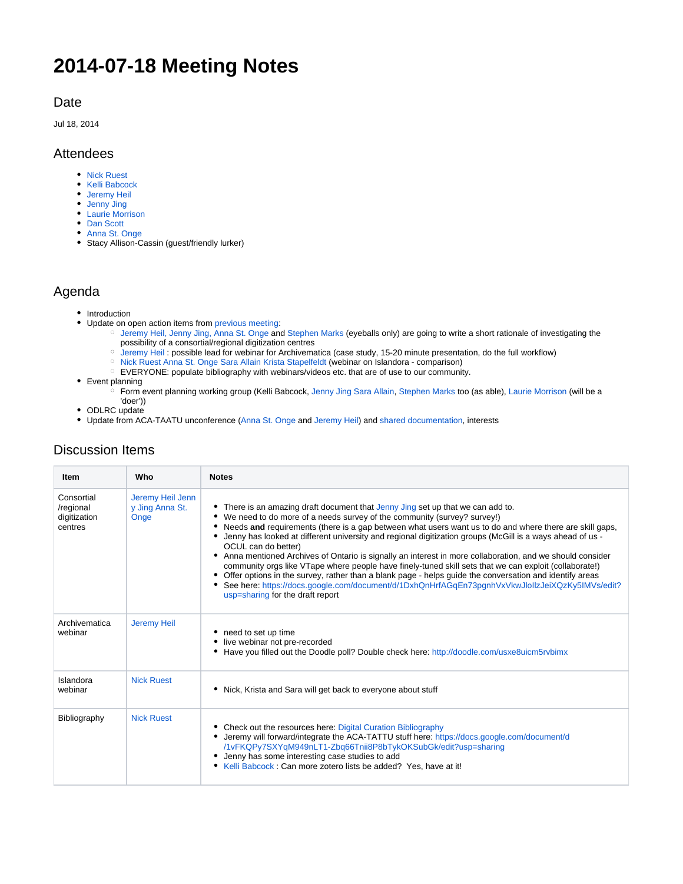# **2014-07-18 Meeting Notes**

#### Date

Jul 18, 2014

#### Attendees

- [Nick Ruest](https://spotdocs.scholarsportal.info/display/~ruestn)
- [Kelli Babcock](https://spotdocs.scholarsportal.info/display/~kelli)
- [Jeremy Heil](https://spotdocs.scholarsportal.info/display/~heilj)
- [Jenny Jing](https://spotdocs.scholarsportal.info/display/~jenny)
- [Laurie Morrison](https://spotdocs.scholarsportal.info/display/~lauriem) • [Dan Scott](https://spotdocs.scholarsportal.info/display/~dan)
- [Anna St. Onge](https://spotdocs.scholarsportal.info/display/~astonge)
- Stacy Allison-Cassin (guest/friendly lurker)

#### Agenda

- Introduction
- Update on open action items from [previous meeting:](https://spotdocs.scholarsportal.info/display/ODCC/2014-04-11+Meeting+Notes)
	- [Jeremy Heil](https://spotdocs.scholarsportal.info/display/%7Eheilj)[, Jenny Jing](https://spotdocs.scholarsportal.info/display/%7Ejenny)[, Anna St. Onge](https://spotdocs.scholarsportal.info/display/%7Eastonge) and [Stephen Marks](https://spotdocs.scholarsportal.info/display/%7Estephen) (eyeballs only) are going to write a short rationale of investigating the possibility of a consortial/regional digitization centres
	- [Jeremy Heil](https://spotdocs.scholarsportal.info/display/%7Eheilj) : possible lead for webinar for Archivematica (case study, 15-20 minute presentation, do the full workflow)
	- o [Nick Ruest](https://spotdocs.scholarsportal.info/display/%7Eruestn) [Anna St. Onge](https://spotdocs.scholarsportal.info/display/%7Eastonge) [Sara Allain](https://spotdocs.scholarsportal.info/display/%7Esaraa) [Krista Stapelfeldt](https://spotdocs.scholarsportal.info/display/%7Ekstapelfeldt) (webinar on Islandora comparison)
	- EVERYONE: populate bibliography with webinars/videos etc. that are of use to our community.
- Event planning
	- Form event planning working group (Kelli Babcock, [Jenny Jing](https://spotdocs.scholarsportal.info/display/%7Ejenny) [Sara Allain,](https://spotdocs.scholarsportal.info/display/%7Esaraa) [Stephen Marks](https://spotdocs.scholarsportal.info/display/%7Estephen) too (as able), [Laurie Morrison](https://spotdocs.scholarsportal.info/display/%7Elauriem) (will be a 'doer'))
- ODLRC update
- Update from ACA-TAATU unconference ([Anna St. Onge](https://spotdocs.scholarsportal.info/display/~astonge) and [Jeremy Heil](https://spotdocs.scholarsportal.info/display/~heilj)) and [shared documentation,](https://docs.google.com/document/d/1vFKQPy7SXYqM949nLT1-Zbq66Tnii8P8bTykOKSubGk/edit?usp=sharing) interests

## Discussion Items

| Item                                               | Who                                         | <b>Notes</b>                                                                                                                                                                                                                                                                                                                                                                                                                                                                                                                                                                                                                                                                                                                                                                                                                                                                            |
|----------------------------------------------------|---------------------------------------------|-----------------------------------------------------------------------------------------------------------------------------------------------------------------------------------------------------------------------------------------------------------------------------------------------------------------------------------------------------------------------------------------------------------------------------------------------------------------------------------------------------------------------------------------------------------------------------------------------------------------------------------------------------------------------------------------------------------------------------------------------------------------------------------------------------------------------------------------------------------------------------------------|
| Consortial<br>/regional<br>digitization<br>centres | Jeremy Heil Jenn<br>y Jing Anna St.<br>Onge | • There is an amazing draft document that Jenny Jing set up that we can add to.<br>• We need to do more of a needs survey of the community (survey? survey!)<br>Needs and requirements (there is a gap between what users want us to do and where there are skill gaps,<br>• Jenny has looked at different university and regional digitization groups (McGill is a ways ahead of us -<br>OCUL can do better)<br>Anna mentioned Archives of Ontario is signally an interest in more collaboration, and we should consider<br>community orgs like VTape where people have finely-tuned skill sets that we can exploit (collaborate!)<br>• Offer options in the survey, rather than a blank page - helps guide the conversation and identify areas<br>See here: https://docs.google.com/document/d/1DxhQnHrfAGqEn73pgnhVxVkwJlollzJeiXQzKy5IMVs/edit?<br>usp=sharing for the draft report |
| Archivematica<br>webinar                           | <b>Jeremy Heil</b>                          | • need to set up time<br>live webinar not pre-recorded<br>Have you filled out the Doodle poll? Double check here: http://doodle.com/usxe8uicm5rvbimx                                                                                                                                                                                                                                                                                                                                                                                                                                                                                                                                                                                                                                                                                                                                    |
| Islandora<br>webinar                               | <b>Nick Ruest</b>                           | Nick, Krista and Sara will get back to everyone about stuff<br>٠                                                                                                                                                                                                                                                                                                                                                                                                                                                                                                                                                                                                                                                                                                                                                                                                                        |
| Bibliography                                       | <b>Nick Ruest</b>                           | • Check out the resources here: Digital Curation Bibliography<br>• Jeremy will forward/integrate the ACA-TATTU stuff here: https://docs.google.com/document/d<br>/1vFKQPy7SXYqM949nLT1-Zbq66Tnii8P8bTykOKSubGk/edit?usp=sharing<br>Jenny has some interesting case studies to add<br>• Kelli Babcock: Can more zotero lists be added? Yes, have at it!                                                                                                                                                                                                                                                                                                                                                                                                                                                                                                                                  |